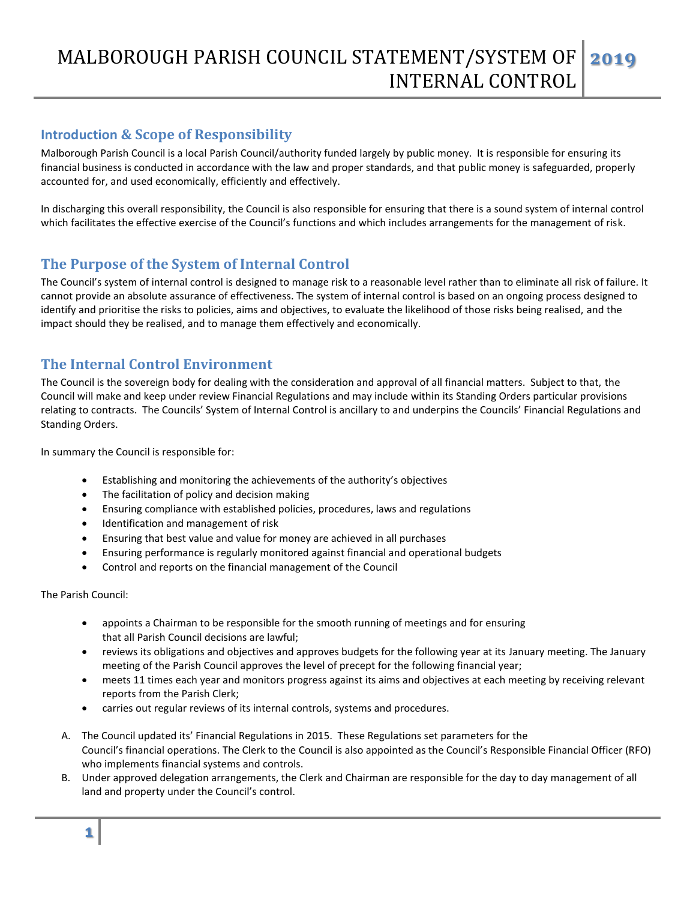# MALBOROUGH PARISH COUNCIL STATEMENT/SYSTEM OF INTERNAL CONTROL **2019**

## **Introduction & Scope of Responsibility**

Malborough Parish Council is a local Parish Council/authority funded largely by public money. It is responsible for ensuring its financial business is conducted in accordance with the law and proper standards, and that public money is safeguarded, properly accounted for, and used economically, efficiently and effectively.

In discharging this overall responsibility, the Council is also responsible for ensuring that there is a sound system of internal control which facilitates the effective exercise of the Council's functions and which includes arrangements for the management of risk.

# **The Purpose of the System of Internal Control**

The Council's system of internal control is designed to manage risk to a reasonable level rather than to eliminate all risk of failure. It cannot provide an absolute assurance of effectiveness. The system of internal control is based on an ongoing process designed to identify and prioritise the risks to policies, aims and objectives, to evaluate the likelihood of those risks being realised, and the impact should they be realised, and to manage them effectively and economically.

## **The Internal Control Environment**

The Council is the sovereign body for dealing with the consideration and approval of all financial matters. Subject to that, the Council will make and keep under review Financial Regulations and may include within its Standing Orders particular provisions relating to contracts. The Councils' System of Internal Control is ancillary to and underpins the Councils' Financial Regulations and Standing Orders.

In summary the Council is responsible for:

- Establishing and monitoring the achievements of the authority's objectives
- The facilitation of policy and decision making
- Ensuring compliance with established policies, procedures, laws and regulations
- Identification and management of risk
- Ensuring that best value and value for money are achieved in all purchases
- Ensuring performance is regularly monitored against financial and operational budgets
- Control and reports on the financial management of the Council

### The Parish Council:

- appoints a Chairman to be responsible for the smooth running of meetings and for ensuring that all Parish Council decisions are lawful;
- reviews its obligations and objectives and approves budgets for the following year at its January meeting. The January meeting of the Parish Council approves the level of precept for the following financial year;
- meets 11 times each year and monitors progress against its aims and objectives at each meeting by receiving relevant reports from the Parish Clerk;
- carries out regular reviews of its internal controls, systems and procedures.
- A. The Council updated its' Financial Regulations in 2015. These Regulations set parameters for the Council's financial operations. The Clerk to the Council is also appointed as the Council's Responsible Financial Officer (RFO) who implements financial systems and controls.
- B. Under approved delegation arrangements, the Clerk and Chairman are responsible for the day to day management of all land and property under the Council's control.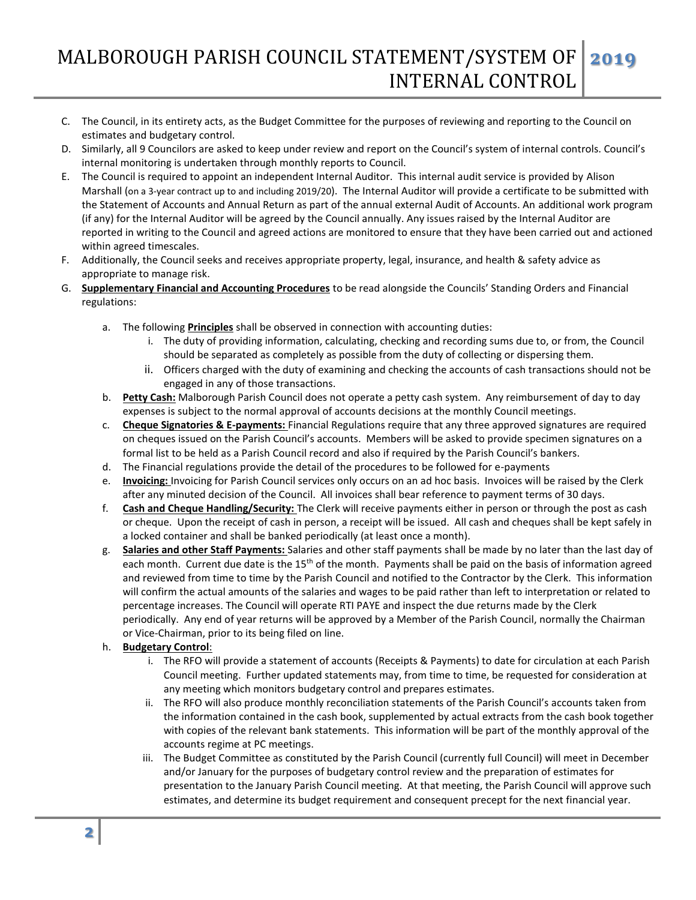- C. The Council, in its entirety acts, as the Budget Committee for the purposes of reviewing and reporting to the Council on estimates and budgetary control.
- D. Similarly, all 9 Councilors are asked to keep under review and report on the Council's system of internal controls. Council's internal monitoring is undertaken through monthly reports to Council.
- E. The Council is required to appoint an independent Internal Auditor. This internal audit service is provided by Alison Marshall (on a 3-year contract up to and including 2019/20). The Internal Auditor will provide a certificate to be submitted with the Statement of Accounts and Annual Return as part of the annual external Audit of Accounts. An additional work program (if any) for the Internal Auditor will be agreed by the Council annually. Any issues raised by the Internal Auditor are reported in writing to the Council and agreed actions are monitored to ensure that they have been carried out and actioned within agreed timescales.
- F. Additionally, the Council seeks and receives appropriate property, legal, insurance, and health & safety advice as appropriate to manage risk.
- G. **Supplementary Financial and Accounting Procedures** to be read alongside the Councils' Standing Orders and Financial regulations:
	- a. The following **Principles** shall be observed in connection with accounting duties:
		- i. The duty of providing information, calculating, checking and recording sums due to, or from, the Council should be separated as completely as possible from the duty of collecting or dispersing them.
		- ii. Officers charged with the duty of examining and checking the accounts of cash transactions should not be engaged in any of those transactions.
	- b. **Petty Cash:** Malborough Parish Council does not operate a petty cash system. Any reimbursement of day to day expenses is subject to the normal approval of accounts decisions at the monthly Council meetings.
	- c. **Cheque Signatories & E-payments:** Financial Regulations require that any three approved signatures are required on cheques issued on the Parish Council's accounts. Members will be asked to provide specimen signatures on a formal list to be held as a Parish Council record and also if required by the Parish Council's bankers.
	- d. The Financial regulations provide the detail of the procedures to be followed for e-payments
	- e. **Invoicing:** Invoicing for Parish Council services only occurs on an ad hoc basis. Invoices will be raised by the Clerk after any minuted decision of the Council. All invoices shall bear reference to payment terms of 30 days.
	- f. **Cash and Cheque Handling/Security:** The Clerk will receive payments either in person or through the post as cash or cheque. Upon the receipt of cash in person, a receipt will be issued. All cash and cheques shall be kept safely in a locked container and shall be banked periodically (at least once a month).
	- g. **Salaries and other Staff Payments:** Salaries and other staff payments shall be made by no later than the last day of each month. Current due date is the  $15<sup>th</sup>$  of the month. Payments shall be paid on the basis of information agreed and reviewed from time to time by the Parish Council and notified to the Contractor by the Clerk. This information will confirm the actual amounts of the salaries and wages to be paid rather than left to interpretation or related to percentage increases. The Council will operate RTI PAYE and inspect the due returns made by the Clerk periodically. Any end of year returns will be approved by a Member of the Parish Council, normally the Chairman or Vice-Chairman, prior to its being filed on line.
	- h. **Budgetary Control**:
		- i. The RFO will provide a statement of accounts (Receipts & Payments) to date for circulation at each Parish Council meeting. Further updated statements may, from time to time, be requested for consideration at any meeting which monitors budgetary control and prepares estimates.
		- ii. The RFO will also produce monthly reconciliation statements of the Parish Council's accounts taken from the information contained in the cash book, supplemented by actual extracts from the cash book together with copies of the relevant bank statements. This information will be part of the monthly approval of the accounts regime at PC meetings.
		- iii. The Budget Committee as constituted by the Parish Council (currently full Council) will meet in December and/or January for the purposes of budgetary control review and the preparation of estimates for presentation to the January Parish Council meeting. At that meeting, the Parish Council will approve such estimates, and determine its budget requirement and consequent precept for the next financial year.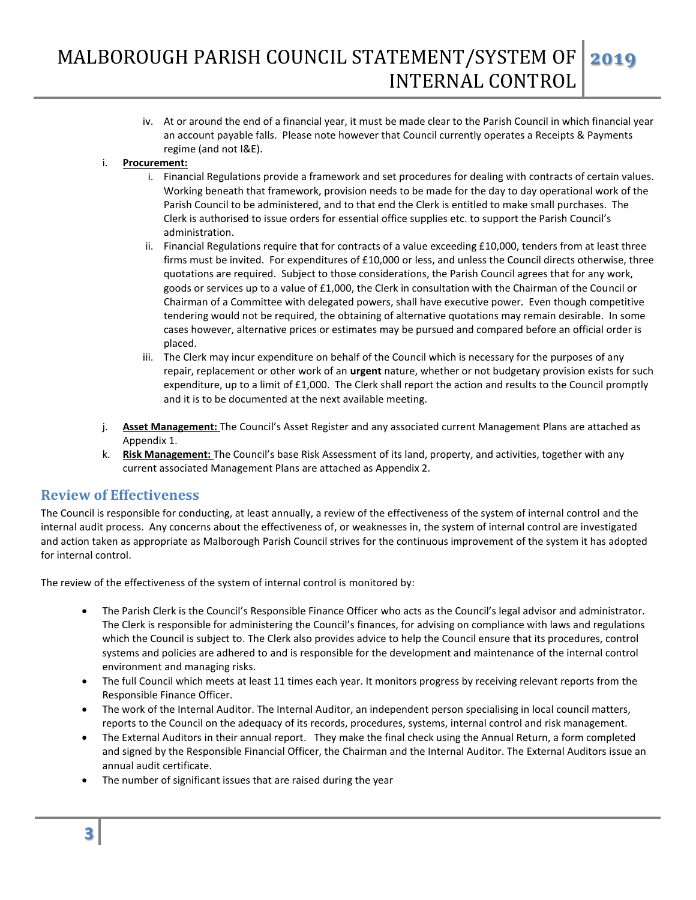iv. At or around the end of a financial year, it must be made clear to the Parish Council in which financial year an account payable falls. Please note however that Council currently operates a Receipts & Payments regime (and not I&E).

### i. **Procurement:**

- i. Financial Regulations provide a framework and set procedures for dealing with contracts of certain values. Working beneath that framework, provision needs to be made for the day to day operational work of the Parish Council to be administered, and to that end the Clerk is entitled to make small purchases. The Clerk is authorised to issue orders for essential office supplies etc. to support the Parish Council's administration.
- ii. Financial Regulations require that for contracts of a value exceeding £10,000, tenders from at least three firms must be invited. For expenditures of £10,000 or less, and unless the Council directs otherwise, three quotations are required. Subject to those considerations, the Parish Council agrees that for any work, goods or services up to a value of £1,000, the Clerk in consultation with the Chairman of the Council or Chairman of a Committee with delegated powers, shall have executive power. Even though competitive tendering would not be required, the obtaining of alternative quotations may remain desirable. In some cases however, alternative prices or estimates may be pursued and compared before an official order is placed.
- iii. The Clerk may incur expenditure on behalf of the Council which is necessary for the purposes of any repair, replacement or other work of an **urgent** nature, whether or not budgetary provision exists for such expenditure, up to a limit of £1,000. The Clerk shall report the action and results to the Council promptly and it is to be documented at the next available meeting.
- j. **Asset Management:** The Council's Asset Register and any associated current Management Plans are attached as Appendix 1.
- k. **Risk Management:** The Council's base Risk Assessment of its land, property, and activities, together with any current associated Management Plans are attached as Appendix 2.

### **Review of Effectiveness**

The Council is responsible for conducting, at least annually, a review of the effectiveness of the system of internal control and the internal audit process. Any concerns about the effectiveness of, or weaknesses in, the system of internal control are investigated and action taken as appropriate as Malborough Parish Council strives for the continuous improvement of the system it has adopted for internal control.

The review of the effectiveness of the system of internal control is monitored by:

- The Parish Clerk is the Council's Responsible Finance Officer who acts as the Council's legal advisor and administrator. The Clerk is responsible for administering the Council's finances, for advising on compliance with laws and regulations which the Council is subject to. The Clerk also provides advice to help the Council ensure that its procedures, control systems and policies are adhered to and is responsible for the development and maintenance of the internal control environment and managing risks.
- The full Council which meets at least 11 times each year. It monitors progress by receiving relevant reports from the Responsible Finance Officer.
- The work of the Internal Auditor. The Internal Auditor, an independent person specialising in local council matters, reports to the Council on the adequacy of its records, procedures, systems, internal control and risk management.
- The External Auditors in their annual report. They make the final check using the Annual Return, a form completed and signed by the Responsible Financial Officer, the Chairman and the Internal Auditor. The External Auditors issue an annual audit certificate.
- The number of significant issues that are raised during the year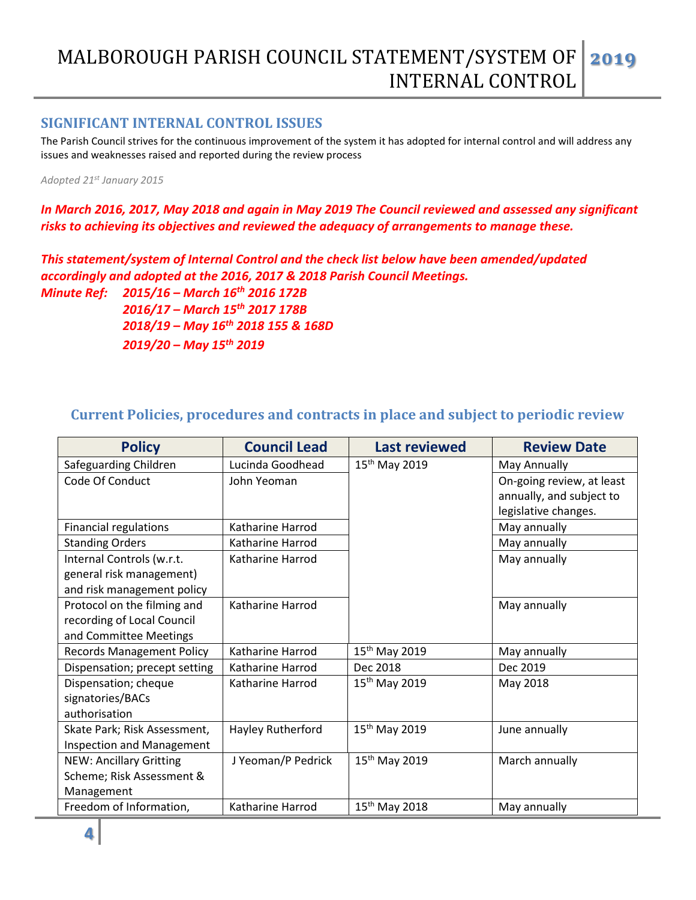## MALBOROUGH PARISH COUNCIL STATEMENT/SYSTEM OF INTERNAL CONTROL **2019**

## **SIGNIFICANT INTERNAL CONTROL ISSUES**

The Parish Council strives for the continuous improvement of the system it has adopted for internal control and will address any issues and weaknesses raised and reported during the review process

*Adopted 21st January 2015*

*In March 2016, 2017, May 2018 and again in May 2019 The Council reviewed and assessed any significant risks to achieving its objectives and reviewed the adequacy of arrangements to manage these.* 

*This statement/system of Internal Control and the check list below have been amended/updated accordingly and adopted at the 2016, 2017 & 2018 Parish Council Meetings.*

*Minute Ref: 2015/16 – March 16th 2016 172B 2016/17 – March 15th 2017 178B 2018/19 – May 16th 2018 155 & 168D 2019/20 – May 15th 2019*

# **Current Policies, procedures and contracts in place and subject to periodic review**

| <b>Policy</b>                                                                       | <b>Council Lead</b> | <b>Last reviewed</b>      | <b>Review Date</b>                                                            |
|-------------------------------------------------------------------------------------|---------------------|---------------------------|-------------------------------------------------------------------------------|
| Safeguarding Children                                                               | Lucinda Goodhead    | $15^{th}$ May 2019        | May Annually                                                                  |
| Code Of Conduct                                                                     | John Yeoman         |                           | On-going review, at least<br>annually, and subject to<br>legislative changes. |
| <b>Financial regulations</b>                                                        | Katharine Harrod    |                           | May annually                                                                  |
| <b>Standing Orders</b>                                                              | Katharine Harrod    |                           | May annually                                                                  |
| Internal Controls (w.r.t.<br>general risk management)<br>and risk management policy | Katharine Harrod    |                           | May annually                                                                  |
| Protocol on the filming and<br>recording of Local Council<br>and Committee Meetings | Katharine Harrod    |                           | May annually                                                                  |
| <b>Records Management Policy</b>                                                    | Katharine Harrod    | 15 <sup>th</sup> May 2019 | May annually                                                                  |
| Dispensation; precept setting                                                       | Katharine Harrod    | Dec 2018                  | Dec 2019                                                                      |
| Dispensation; cheque<br>signatories/BACs<br>authorisation                           | Katharine Harrod    | $15^{th}$ May 2019        | May 2018                                                                      |
| Skate Park; Risk Assessment,<br><b>Inspection and Management</b>                    | Hayley Rutherford   | 15 <sup>th</sup> May 2019 | June annually                                                                 |
| <b>NEW: Ancillary Gritting</b><br>Scheme; Risk Assessment &<br>Management           | J Yeoman/P Pedrick  | 15 <sup>th</sup> May 2019 | March annually                                                                |
| Freedom of Information,                                                             | Katharine Harrod    | 15 <sup>th</sup> May 2018 | May annually                                                                  |